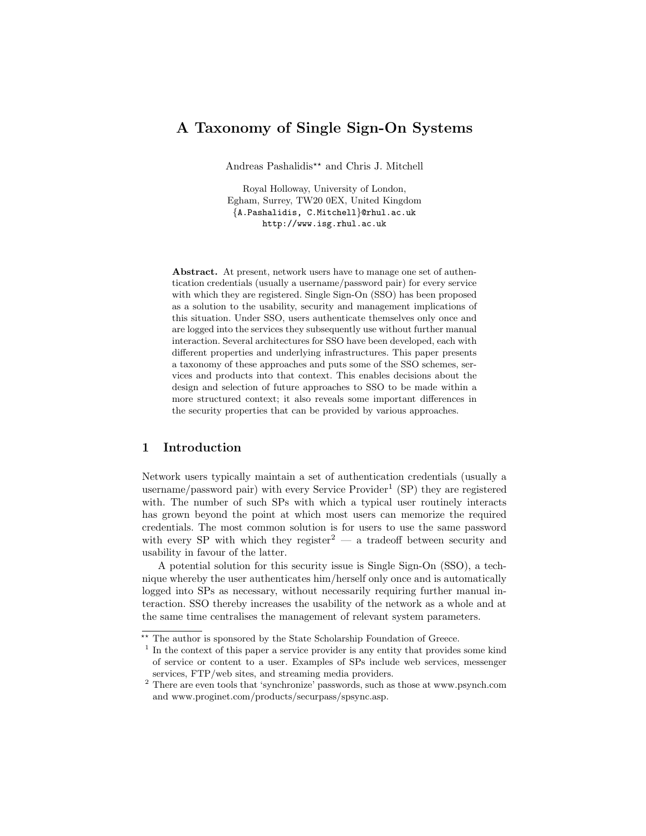# A Taxonomy of Single Sign-On Systems

Andreas Pashalidis<sup>\*\*</sup> and Chris J. Mitchell

Royal Holloway, University of London, Egham, Surrey, TW20 0EX, United Kingdom {A.Pashalidis, C.Mitchell}@rhul.ac.uk http://www.isg.rhul.ac.uk

Abstract. At present, network users have to manage one set of authentication credentials (usually a username/password pair) for every service with which they are registered. Single Sign-On (SSO) has been proposed as a solution to the usability, security and management implications of this situation. Under SSO, users authenticate themselves only once and are logged into the services they subsequently use without further manual interaction. Several architectures for SSO have been developed, each with different properties and underlying infrastructures. This paper presents a taxonomy of these approaches and puts some of the SSO schemes, services and products into that context. This enables decisions about the design and selection of future approaches to SSO to be made within a more structured context; it also reveals some important differences in the security properties that can be provided by various approaches.

## 1 Introduction

Network users typically maintain a set of authentication credentials (usually a username/password pair) with every Service Provider<sup>1</sup> (SP) they are registered with. The number of such SPs with which a typical user routinely interacts has grown beyond the point at which most users can memorize the required credentials. The most common solution is for users to use the same password with every SP with which they register<sup>2</sup> — a tradeoff between security and usability in favour of the latter.

A potential solution for this security issue is Single Sign-On (SSO), a technique whereby the user authenticates him/herself only once and is automatically logged into SPs as necessary, without necessarily requiring further manual interaction. SSO thereby increases the usability of the network as a whole and at the same time centralises the management of relevant system parameters.

<sup>\*\*</sup> The author is sponsored by the State Scholarship Foundation of Greece.

<sup>&</sup>lt;sup>1</sup> In the context of this paper a service provider is any entity that provides some kind of service or content to a user. Examples of SPs include web services, messenger services, FTP/web sites, and streaming media providers.

 $^{\rm 2}$  There are even tools that 'synchronize' passwords, such as those at www.psynch.com and www.proginet.com/products/securpass/spsync.asp.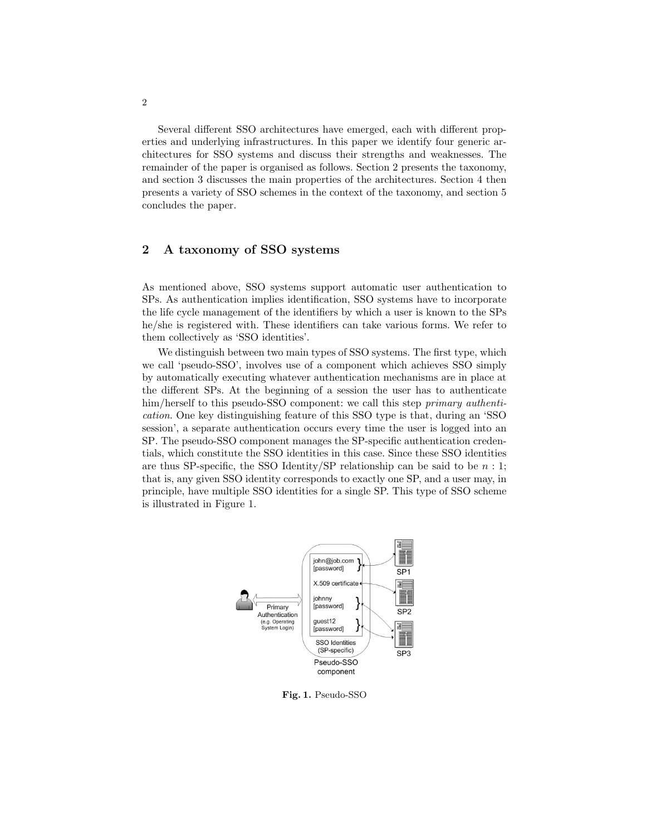Several different SSO architectures have emerged, each with different properties and underlying infrastructures. In this paper we identify four generic architectures for SSO systems and discuss their strengths and weaknesses. The remainder of the paper is organised as follows. Section 2 presents the taxonomy, and section 3 discusses the main properties of the architectures. Section 4 then presents a variety of SSO schemes in the context of the taxonomy, and section 5 concludes the paper.

# 2 A taxonomy of SSO systems

As mentioned above, SSO systems support automatic user authentication to SPs. As authentication implies identification, SSO systems have to incorporate the life cycle management of the identifiers by which a user is known to the SPs he/she is registered with. These identifiers can take various forms. We refer to them collectively as 'SSO identities'.

We distinguish between two main types of SSO systems. The first type, which we call 'pseudo-SSO', involves use of a component which achieves SSO simply by automatically executing whatever authentication mechanisms are in place at the different SPs. At the beginning of a session the user has to authenticate him/herself to this pseudo-SSO component: we call this step *primary authenti*cation. One key distinguishing feature of this SSO type is that, during an 'SSO session', a separate authentication occurs every time the user is logged into an SP. The pseudo-SSO component manages the SP-specific authentication credentials, which constitute the SSO identities in this case. Since these SSO identities are thus SP-specific, the SSO Identity/SP relationship can be said to be  $n:1$ ; that is, any given SSO identity corresponds to exactly one SP, and a user may, in principle, have multiple SSO identities for a single SP. This type of SSO scheme is illustrated in Figure 1.



Fig. 1. Pseudo-SSO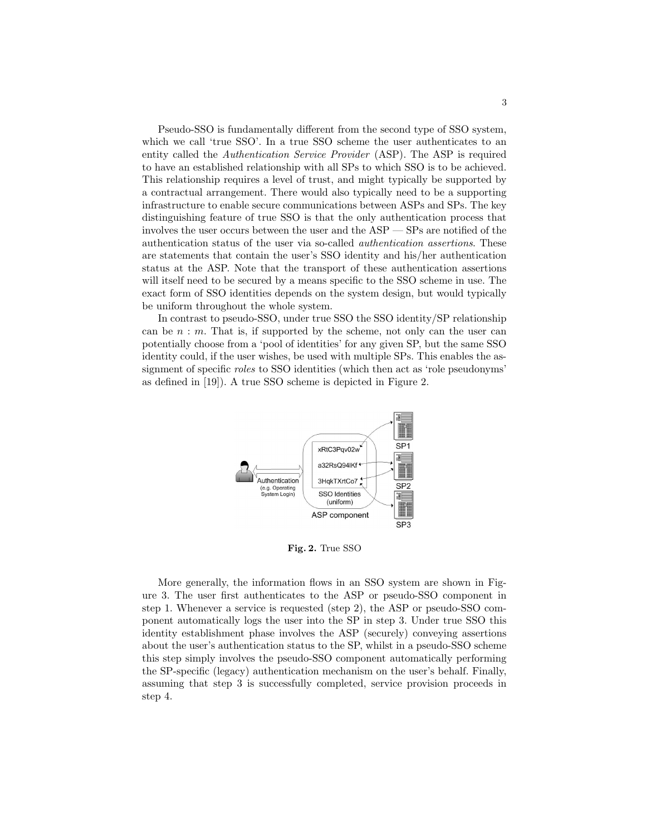Pseudo-SSO is fundamentally different from the second type of SSO system, which we call 'true SSO'. In a true SSO scheme the user authenticates to an entity called the *Authentication Service Provider* (ASP). The ASP is required to have an established relationship with all SPs to which SSO is to be achieved. This relationship requires a level of trust, and might typically be supported by a contractual arrangement. There would also typically need to be a supporting infrastructure to enable secure communications between ASPs and SPs. The key distinguishing feature of true SSO is that the only authentication process that involves the user occurs between the user and the ASP — SPs are notified of the authentication status of the user via so-called authentication assertions. These are statements that contain the user's SSO identity and his/her authentication status at the ASP. Note that the transport of these authentication assertions will itself need to be secured by a means specific to the SSO scheme in use. The exact form of SSO identities depends on the system design, but would typically be uniform throughout the whole system.

In contrast to pseudo-SSO, under true SSO the SSO identity/SP relationship can be  $n : m$ . That is, if supported by the scheme, not only can the user can potentially choose from a 'pool of identities' for any given SP, but the same SSO identity could, if the user wishes, be used with multiple SPs. This enables the assignment of specific *roles* to SSO identities (which then act as 'role pseudonyms' as defined in [19]). A true SSO scheme is depicted in Figure 2.



Fig. 2. True SSO

More generally, the information flows in an SSO system are shown in Figure 3. The user first authenticates to the ASP or pseudo-SSO component in step 1. Whenever a service is requested (step 2), the ASP or pseudo-SSO component automatically logs the user into the SP in step 3. Under true SSO this identity establishment phase involves the ASP (securely) conveying assertions about the user's authentication status to the SP, whilst in a pseudo-SSO scheme this step simply involves the pseudo-SSO component automatically performing the SP-specific (legacy) authentication mechanism on the user's behalf. Finally, assuming that step 3 is successfully completed, service provision proceeds in step 4.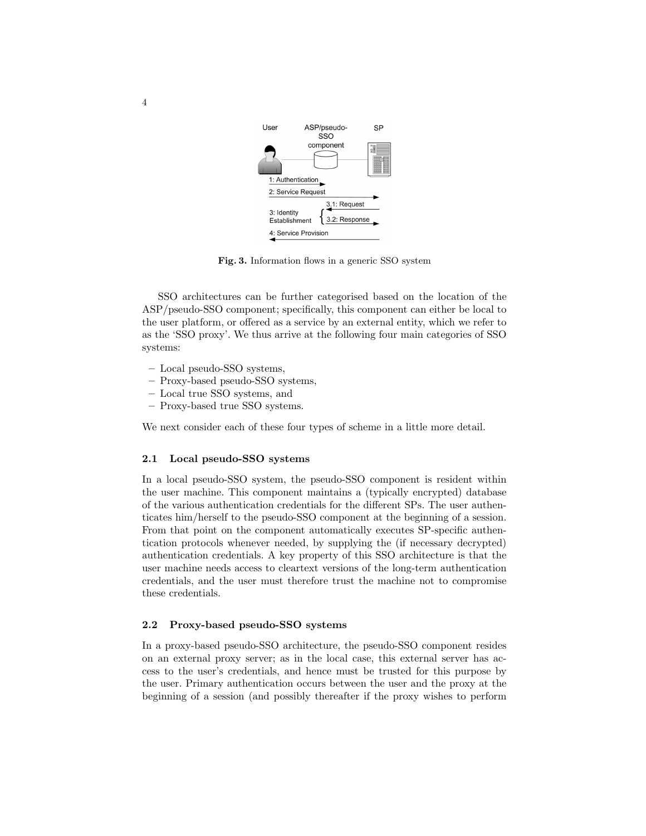

Fig. 3. Information flows in a generic SSO system

SSO architectures can be further categorised based on the location of the ASP/pseudo-SSO component; specifically, this component can either be local to the user platform, or offered as a service by an external entity, which we refer to as the 'SSO proxy'. We thus arrive at the following four main categories of SSO systems:

- Local pseudo-SSO systems,
- Proxy-based pseudo-SSO systems,
- Local true SSO systems, and
- Proxy-based true SSO systems.

We next consider each of these four types of scheme in a little more detail.

## 2.1 Local pseudo-SSO systems

In a local pseudo-SSO system, the pseudo-SSO component is resident within the user machine. This component maintains a (typically encrypted) database of the various authentication credentials for the different SPs. The user authenticates him/herself to the pseudo-SSO component at the beginning of a session. From that point on the component automatically executes SP-specific authentication protocols whenever needed, by supplying the (if necessary decrypted) authentication credentials. A key property of this SSO architecture is that the user machine needs access to cleartext versions of the long-term authentication credentials, and the user must therefore trust the machine not to compromise these credentials.

#### 2.2 Proxy-based pseudo-SSO systems

In a proxy-based pseudo-SSO architecture, the pseudo-SSO component resides on an external proxy server; as in the local case, this external server has access to the user's credentials, and hence must be trusted for this purpose by the user. Primary authentication occurs between the user and the proxy at the beginning of a session (and possibly thereafter if the proxy wishes to perform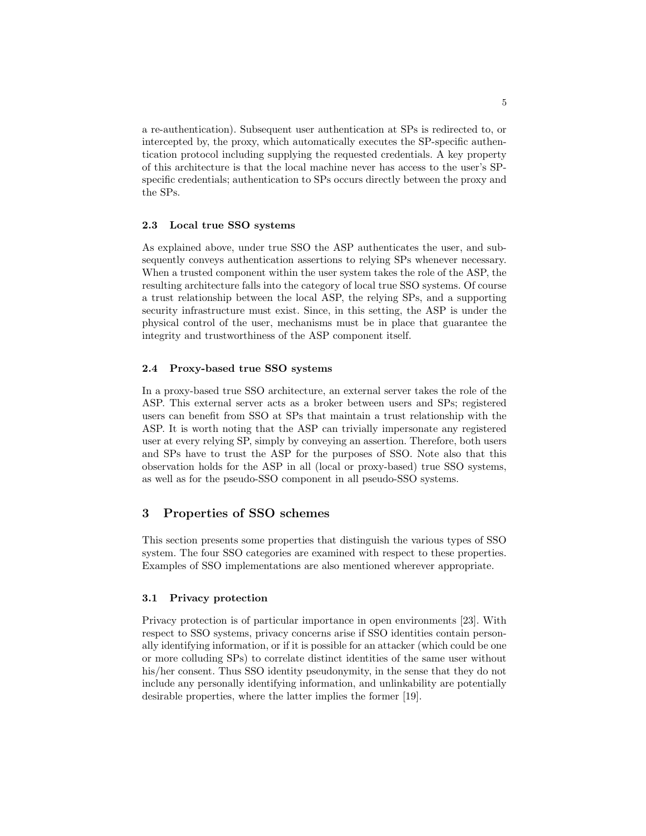a re-authentication). Subsequent user authentication at SPs is redirected to, or intercepted by, the proxy, which automatically executes the SP-specific authentication protocol including supplying the requested credentials. A key property of this architecture is that the local machine never has access to the user's SPspecific credentials; authentication to SPs occurs directly between the proxy and the SPs.

## 2.3 Local true SSO systems

As explained above, under true SSO the ASP authenticates the user, and subsequently conveys authentication assertions to relying SPs whenever necessary. When a trusted component within the user system takes the role of the ASP, the resulting architecture falls into the category of local true SSO systems. Of course a trust relationship between the local ASP, the relying SPs, and a supporting security infrastructure must exist. Since, in this setting, the ASP is under the physical control of the user, mechanisms must be in place that guarantee the integrity and trustworthiness of the ASP component itself.

## 2.4 Proxy-based true SSO systems

In a proxy-based true SSO architecture, an external server takes the role of the ASP. This external server acts as a broker between users and SPs; registered users can benefit from SSO at SPs that maintain a trust relationship with the ASP. It is worth noting that the ASP can trivially impersonate any registered user at every relying SP, simply by conveying an assertion. Therefore, both users and SPs have to trust the ASP for the purposes of SSO. Note also that this observation holds for the ASP in all (local or proxy-based) true SSO systems, as well as for the pseudo-SSO component in all pseudo-SSO systems.

## 3 Properties of SSO schemes

This section presents some properties that distinguish the various types of SSO system. The four SSO categories are examined with respect to these properties. Examples of SSO implementations are also mentioned wherever appropriate.

#### 3.1 Privacy protection

Privacy protection is of particular importance in open environments [23]. With respect to SSO systems, privacy concerns arise if SSO identities contain personally identifying information, or if it is possible for an attacker (which could be one or more colluding SPs) to correlate distinct identities of the same user without his/her consent. Thus SSO identity pseudonymity, in the sense that they do not include any personally identifying information, and unlinkability are potentially desirable properties, where the latter implies the former [19].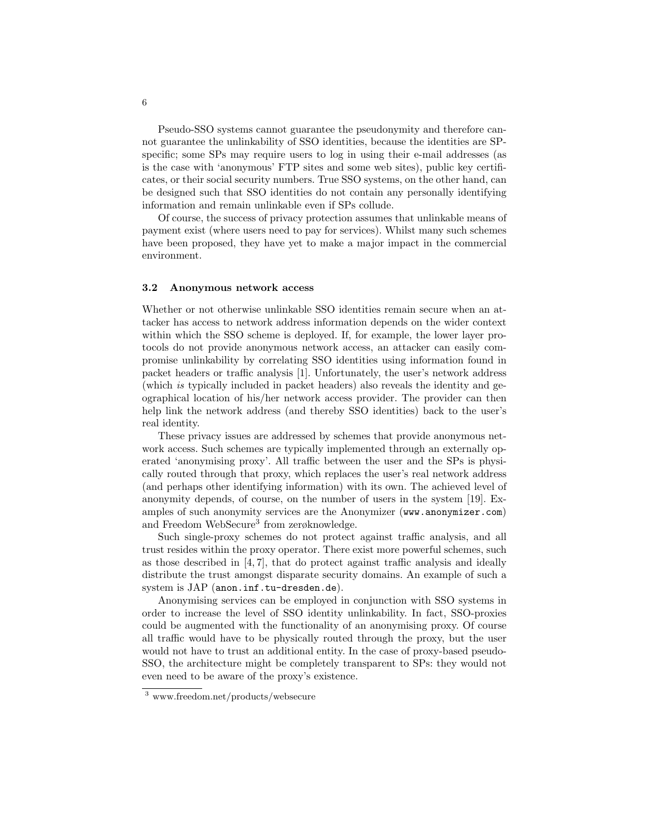Pseudo-SSO systems cannot guarantee the pseudonymity and therefore cannot guarantee the unlinkability of SSO identities, because the identities are SPspecific; some SPs may require users to log in using their e-mail addresses (as is the case with 'anonymous' FTP sites and some web sites), public key certificates, or their social security numbers. True SSO systems, on the other hand, can be designed such that SSO identities do not contain any personally identifying information and remain unlinkable even if SPs collude.

Of course, the success of privacy protection assumes that unlinkable means of payment exist (where users need to pay for services). Whilst many such schemes have been proposed, they have yet to make a major impact in the commercial environment.

#### 3.2 Anonymous network access

Whether or not otherwise unlinkable SSO identities remain secure when an attacker has access to network address information depends on the wider context within which the SSO scheme is deployed. If, for example, the lower layer protocols do not provide anonymous network access, an attacker can easily compromise unlinkability by correlating SSO identities using information found in packet headers or traffic analysis [1]. Unfortunately, the user's network address (which is typically included in packet headers) also reveals the identity and geographical location of his/her network access provider. The provider can then help link the network address (and thereby SSO identities) back to the user's real identity.

These privacy issues are addressed by schemes that provide anonymous network access. Such schemes are typically implemented through an externally operated 'anonymising proxy'. All traffic between the user and the SPs is physically routed through that proxy, which replaces the user's real network address (and perhaps other identifying information) with its own. The achieved level of anonymity depends, of course, on the number of users in the system [19]. Examples of such anonymity services are the Anonymizer (www.anonymizer.com) and Freedom WebSecure<sup>3</sup> from zerøknowledge.

Such single-proxy schemes do not protect against traffic analysis, and all trust resides within the proxy operator. There exist more powerful schemes, such as those described in [4, 7], that do protect against traffic analysis and ideally distribute the trust amongst disparate security domains. An example of such a system is JAP (anon.inf.tu-dresden.de).

Anonymising services can be employed in conjunction with SSO systems in order to increase the level of SSO identity unlinkability. In fact, SSO-proxies could be augmented with the functionality of an anonymising proxy. Of course all traffic would have to be physically routed through the proxy, but the user would not have to trust an additional entity. In the case of proxy-based pseudo-SSO, the architecture might be completely transparent to SPs: they would not even need to be aware of the proxy's existence.

<sup>3</sup> www.freedom.net/products/websecure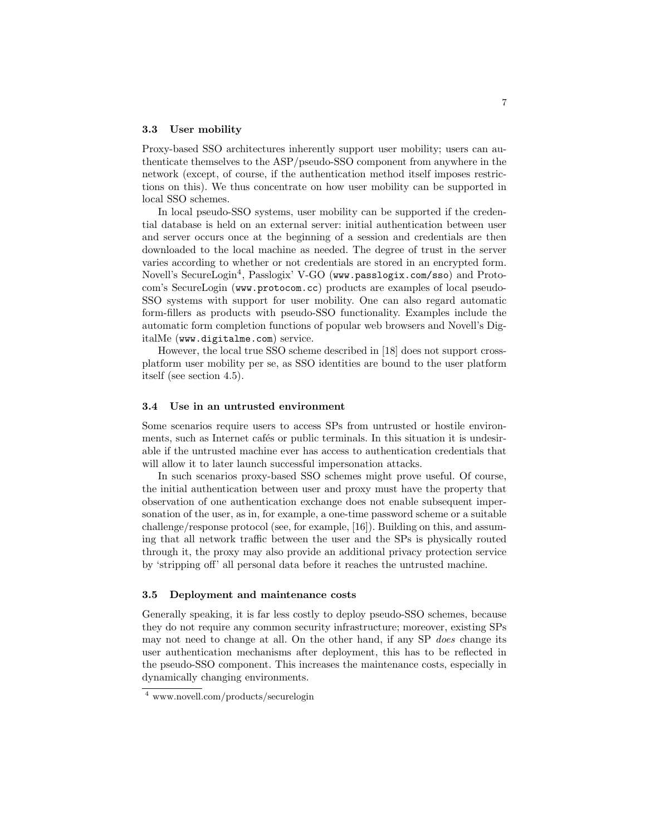#### 3.3 User mobility

Proxy-based SSO architectures inherently support user mobility; users can authenticate themselves to the ASP/pseudo-SSO component from anywhere in the network (except, of course, if the authentication method itself imposes restrictions on this). We thus concentrate on how user mobility can be supported in local SSO schemes.

In local pseudo-SSO systems, user mobility can be supported if the credential database is held on an external server: initial authentication between user and server occurs once at the beginning of a session and credentials are then downloaded to the local machine as needed. The degree of trust in the server varies according to whether or not credentials are stored in an encrypted form. Novell's SecureLogin<sup>4</sup>, Passlogix' V-GO (www.passlogix.com/sso) and Protocom's SecureLogin (www.protocom.cc) products are examples of local pseudo-SSO systems with support for user mobility. One can also regard automatic form-fillers as products with pseudo-SSO functionality. Examples include the automatic form completion functions of popular web browsers and Novell's DigitalMe (www.digitalme.com) service.

However, the local true SSO scheme described in [18] does not support crossplatform user mobility per se, as SSO identities are bound to the user platform itself (see section 4.5).

#### 3.4 Use in an untrusted environment

Some scenarios require users to access SPs from untrusted or hostile environments, such as Internet cafés or public terminals. In this situation it is undesirable if the untrusted machine ever has access to authentication credentials that will allow it to later launch successful impersonation attacks.

In such scenarios proxy-based SSO schemes might prove useful. Of course, the initial authentication between user and proxy must have the property that observation of one authentication exchange does not enable subsequent impersonation of the user, as in, for example, a one-time password scheme or a suitable challenge/response protocol (see, for example, [16]). Building on this, and assuming that all network traffic between the user and the SPs is physically routed through it, the proxy may also provide an additional privacy protection service by 'stripping off' all personal data before it reaches the untrusted machine.

#### 3.5 Deployment and maintenance costs

Generally speaking, it is far less costly to deploy pseudo-SSO schemes, because they do not require any common security infrastructure; moreover, existing SPs may not need to change at all. On the other hand, if any SP does change its user authentication mechanisms after deployment, this has to be reflected in the pseudo-SSO component. This increases the maintenance costs, especially in dynamically changing environments.

<sup>4</sup> www.novell.com/products/securelogin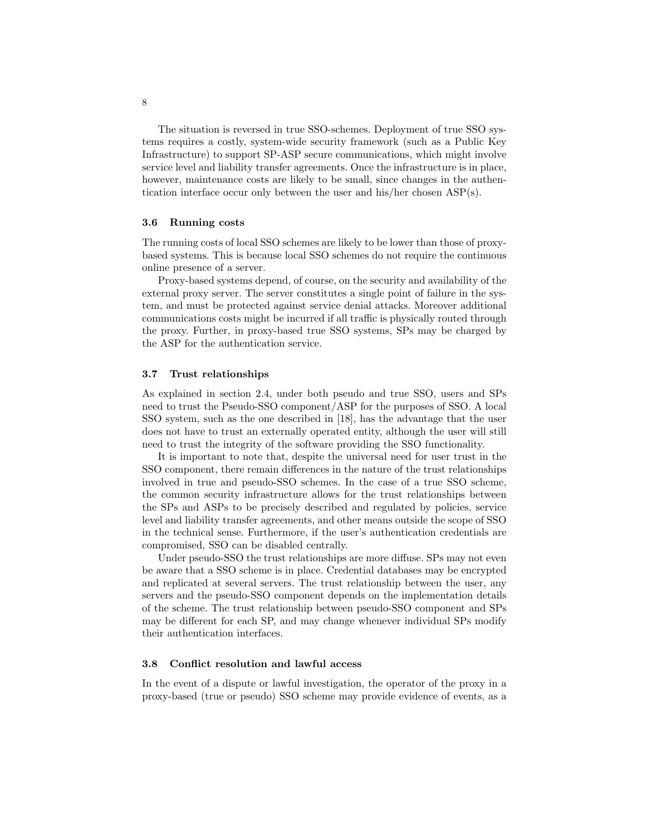The situation is reversed in true SSO-schemes. Deployment of true SSO systems requires a costly, system-wide security framework (such as a Public Key Infrastructure) to support SP-ASP secure communications, which might involve service level and liability transfer agreements. Once the infrastructure is in place, however, maintenance costs are likely to be small, since changes in the authentication interface occur only between the user and his/her chosen ASP(s).

#### 3.6 Running costs

The running costs of local SSO schemes are likely to be lower than those of proxybased systems. This is because local SSO schemes do not require the continuous online presence of a server.

Proxy-based systems depend, of course, on the security and availability of the external proxy server. The server constitutes a single point of failure in the system, and must be protected against service denial attacks. Moreover additional communications costs might be incurred if all traffic is physically routed through the proxy. Further, in proxy-based true SSO systems, SPs may be charged by the ASP for the authentication service.

## 3.7 Trust relationships

As explained in section 2.4, under both pseudo and true SSO, users and SPs need to trust the Pseudo-SSO component/ASP for the purposes of SSO. A local SSO system, such as the one described in [18], has the advantage that the user does not have to trust an externally operated entity, although the user will still need to trust the integrity of the software providing the SSO functionality.

It is important to note that, despite the universal need for user trust in the SSO component, there remain differences in the nature of the trust relationships involved in true and pseudo-SSO schemes. In the case of a true SSO scheme, the common security infrastructure allows for the trust relationships between the SPs and ASPs to be precisely described and regulated by policies, service level and liability transfer agreements, and other means outside the scope of SSO in the technical sense. Furthermore, if the user's authentication credentials are compromised, SSO can be disabled centrally.

Under pseudo-SSO the trust relationships are more diffuse. SPs may not even be aware that a SSO scheme is in place. Credential databases may be encrypted and replicated at several servers. The trust relationship between the user, any servers and the pseudo-SSO component depends on the implementation details of the scheme. The trust relationship between pseudo-SSO component and SPs may be different for each SP, and may change whenever individual SPs modify their authentication interfaces.

#### 3.8 Conflict resolution and lawful access

In the event of a dispute or lawful investigation, the operator of the proxy in a proxy-based (true or pseudo) SSO scheme may provide evidence of events, as a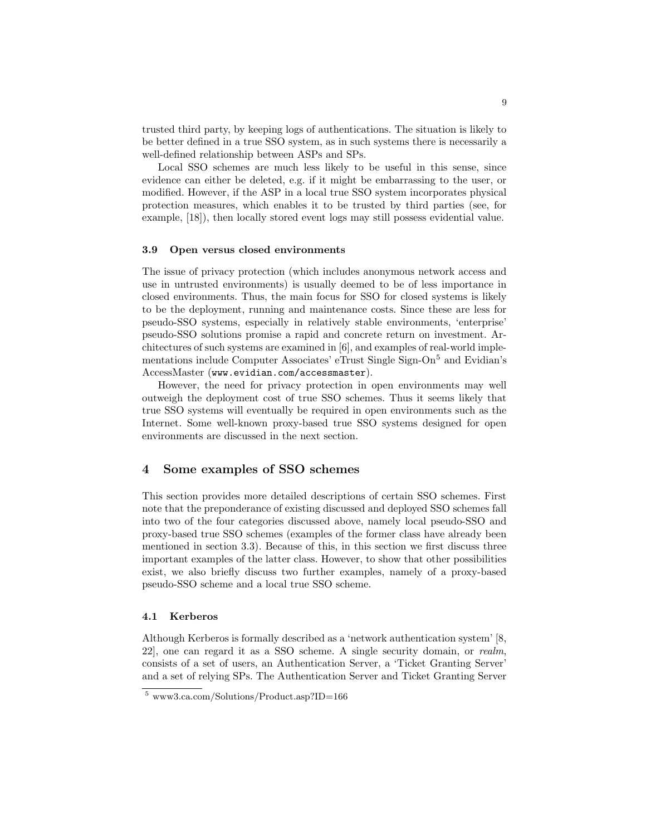trusted third party, by keeping logs of authentications. The situation is likely to be better defined in a true SSO system, as in such systems there is necessarily a well-defined relationship between ASPs and SPs.

Local SSO schemes are much less likely to be useful in this sense, since evidence can either be deleted, e.g. if it might be embarrassing to the user, or modified. However, if the ASP in a local true SSO system incorporates physical protection measures, which enables it to be trusted by third parties (see, for example, [18]), then locally stored event logs may still possess evidential value.

## 3.9 Open versus closed environments

The issue of privacy protection (which includes anonymous network access and use in untrusted environments) is usually deemed to be of less importance in closed environments. Thus, the main focus for SSO for closed systems is likely to be the deployment, running and maintenance costs. Since these are less for pseudo-SSO systems, especially in relatively stable environments, 'enterprise' pseudo-SSO solutions promise a rapid and concrete return on investment. Architectures of such systems are examined in [6], and examples of real-world implementations include Computer Associates' eTrust Single Sign-On<sup>5</sup> and Evidian's AccessMaster (www.evidian.com/accessmaster).

However, the need for privacy protection in open environments may well outweigh the deployment cost of true SSO schemes. Thus it seems likely that true SSO systems will eventually be required in open environments such as the Internet. Some well-known proxy-based true SSO systems designed for open environments are discussed in the next section.

# 4 Some examples of SSO schemes

This section provides more detailed descriptions of certain SSO schemes. First note that the preponderance of existing discussed and deployed SSO schemes fall into two of the four categories discussed above, namely local pseudo-SSO and proxy-based true SSO schemes (examples of the former class have already been mentioned in section 3.3). Because of this, in this section we first discuss three important examples of the latter class. However, to show that other possibilities exist, we also briefly discuss two further examples, namely of a proxy-based pseudo-SSO scheme and a local true SSO scheme.

#### 4.1 Kerberos

Although Kerberos is formally described as a 'network authentication system' [8, 22], one can regard it as a SSO scheme. A single security domain, or realm, consists of a set of users, an Authentication Server, a 'Ticket Granting Server' and a set of relying SPs. The Authentication Server and Ticket Granting Server

<sup>5</sup> www3.ca.com/Solutions/Product.asp?ID=166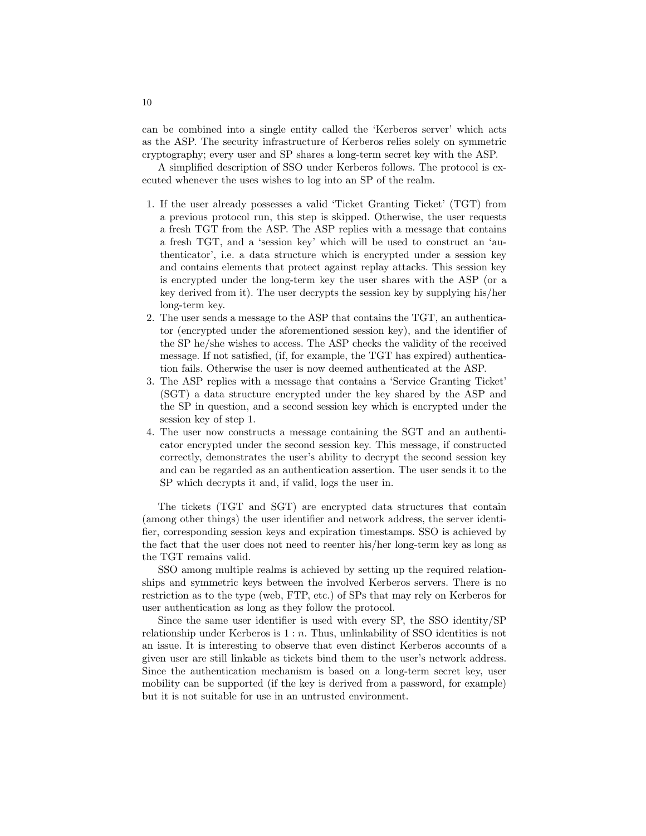can be combined into a single entity called the 'Kerberos server' which acts as the ASP. The security infrastructure of Kerberos relies solely on symmetric cryptography; every user and SP shares a long-term secret key with the ASP.

A simplified description of SSO under Kerberos follows. The protocol is executed whenever the uses wishes to log into an SP of the realm.

- 1. If the user already possesses a valid 'Ticket Granting Ticket' (TGT) from a previous protocol run, this step is skipped. Otherwise, the user requests a fresh TGT from the ASP. The ASP replies with a message that contains a fresh TGT, and a 'session key' which will be used to construct an 'authenticator', i.e. a data structure which is encrypted under a session key and contains elements that protect against replay attacks. This session key is encrypted under the long-term key the user shares with the ASP (or a key derived from it). The user decrypts the session key by supplying his/her long-term key.
- 2. The user sends a message to the ASP that contains the TGT, an authenticator (encrypted under the aforementioned session key), and the identifier of the SP he/she wishes to access. The ASP checks the validity of the received message. If not satisfied, (if, for example, the TGT has expired) authentication fails. Otherwise the user is now deemed authenticated at the ASP.
- 3. The ASP replies with a message that contains a 'Service Granting Ticket' (SGT) a data structure encrypted under the key shared by the ASP and the SP in question, and a second session key which is encrypted under the session key of step 1.
- 4. The user now constructs a message containing the SGT and an authenticator encrypted under the second session key. This message, if constructed correctly, demonstrates the user's ability to decrypt the second session key and can be regarded as an authentication assertion. The user sends it to the SP which decrypts it and, if valid, logs the user in.

The tickets (TGT and SGT) are encrypted data structures that contain (among other things) the user identifier and network address, the server identifier, corresponding session keys and expiration timestamps. SSO is achieved by the fact that the user does not need to reenter his/her long-term key as long as the TGT remains valid.

SSO among multiple realms is achieved by setting up the required relationships and symmetric keys between the involved Kerberos servers. There is no restriction as to the type (web, FTP, etc.) of SPs that may rely on Kerberos for user authentication as long as they follow the protocol.

Since the same user identifier is used with every SP, the SSO identity/SP relationship under Kerberos is  $1 : n$ . Thus, unlinkability of SSO identities is not an issue. It is interesting to observe that even distinct Kerberos accounts of a given user are still linkable as tickets bind them to the user's network address. Since the authentication mechanism is based on a long-term secret key, user mobility can be supported (if the key is derived from a password, for example) but it is not suitable for use in an untrusted environment.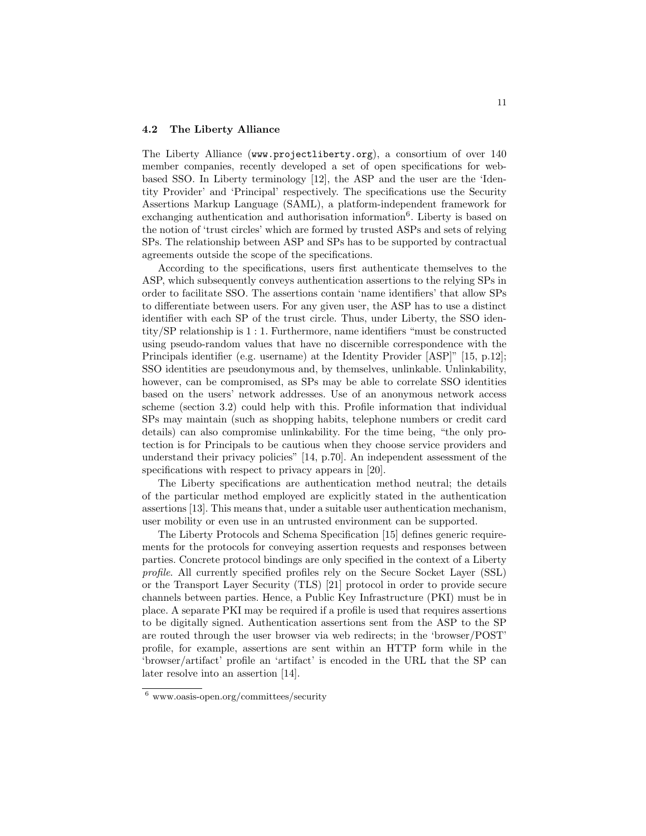#### 4.2 The Liberty Alliance

The Liberty Alliance (www.projectliberty.org), a consortium of over 140 member companies, recently developed a set of open specifications for webbased SSO. In Liberty terminology [12], the ASP and the user are the 'Identity Provider' and 'Principal' respectively. The specifications use the Security Assertions Markup Language (SAML), a platform-independent framework for exchanging authentication and authorisation information<sup>6</sup>. Liberty is based on the notion of 'trust circles' which are formed by trusted ASPs and sets of relying SPs. The relationship between ASP and SPs has to be supported by contractual agreements outside the scope of the specifications.

According to the specifications, users first authenticate themselves to the ASP, which subsequently conveys authentication assertions to the relying SPs in order to facilitate SSO. The assertions contain 'name identifiers' that allow SPs to differentiate between users. For any given user, the ASP has to use a distinct identifier with each SP of the trust circle. Thus, under Liberty, the SSO identity/SP relationship is 1 : 1. Furthermore, name identifiers "must be constructed using pseudo-random values that have no discernible correspondence with the Principals identifier (e.g. username) at the Identity Provider [ASP]" [15, p.12]; SSO identities are pseudonymous and, by themselves, unlinkable. Unlinkability, however, can be compromised, as SPs may be able to correlate SSO identities based on the users' network addresses. Use of an anonymous network access scheme (section 3.2) could help with this. Profile information that individual SPs may maintain (such as shopping habits, telephone numbers or credit card details) can also compromise unlinkability. For the time being, "the only protection is for Principals to be cautious when they choose service providers and understand their privacy policies" [14, p.70]. An independent assessment of the specifications with respect to privacy appears in [20].

The Liberty specifications are authentication method neutral; the details of the particular method employed are explicitly stated in the authentication assertions [13]. This means that, under a suitable user authentication mechanism, user mobility or even use in an untrusted environment can be supported.

The Liberty Protocols and Schema Specification [15] defines generic requirements for the protocols for conveying assertion requests and responses between parties. Concrete protocol bindings are only specified in the context of a Liberty profile. All currently specified profiles rely on the Secure Socket Layer (SSL) or the Transport Layer Security (TLS) [21] protocol in order to provide secure channels between parties. Hence, a Public Key Infrastructure (PKI) must be in place. A separate PKI may be required if a profile is used that requires assertions to be digitally signed. Authentication assertions sent from the ASP to the SP are routed through the user browser via web redirects; in the 'browser/POST' profile, for example, assertions are sent within an HTTP form while in the 'browser/artifact' profile an 'artifact' is encoded in the URL that the SP can later resolve into an assertion [14].

 $6$  www.oasis-open.org/committees/security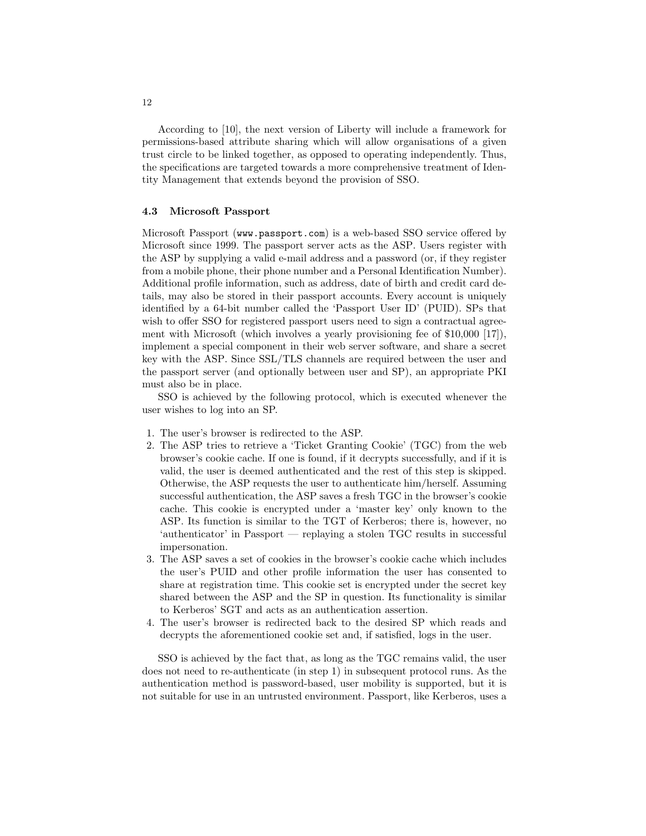According to [10], the next version of Liberty will include a framework for permissions-based attribute sharing which will allow organisations of a given trust circle to be linked together, as opposed to operating independently. Thus, the specifications are targeted towards a more comprehensive treatment of Identity Management that extends beyond the provision of SSO.

## 4.3 Microsoft Passport

Microsoft Passport (www.passport.com) is a web-based SSO service offered by Microsoft since 1999. The passport server acts as the ASP. Users register with the ASP by supplying a valid e-mail address and a password (or, if they register from a mobile phone, their phone number and a Personal Identification Number). Additional profile information, such as address, date of birth and credit card details, may also be stored in their passport accounts. Every account is uniquely identified by a 64-bit number called the 'Passport User ID' (PUID). SPs that wish to offer SSO for registered passport users need to sign a contractual agreement with Microsoft (which involves a yearly provisioning fee of \$10,000 [17]), implement a special component in their web server software, and share a secret key with the ASP. Since SSL/TLS channels are required between the user and the passport server (and optionally between user and SP), an appropriate PKI must also be in place.

SSO is achieved by the following protocol, which is executed whenever the user wishes to log into an SP.

- 1. The user's browser is redirected to the ASP.
- 2. The ASP tries to retrieve a 'Ticket Granting Cookie' (TGC) from the web browser's cookie cache. If one is found, if it decrypts successfully, and if it is valid, the user is deemed authenticated and the rest of this step is skipped. Otherwise, the ASP requests the user to authenticate him/herself. Assuming successful authentication, the ASP saves a fresh TGC in the browser's cookie cache. This cookie is encrypted under a 'master key' only known to the ASP. Its function is similar to the TGT of Kerberos; there is, however, no 'authenticator' in Passport — replaying a stolen TGC results in successful impersonation.
- 3. The ASP saves a set of cookies in the browser's cookie cache which includes the user's PUID and other profile information the user has consented to share at registration time. This cookie set is encrypted under the secret key shared between the ASP and the SP in question. Its functionality is similar to Kerberos' SGT and acts as an authentication assertion.
- 4. The user's browser is redirected back to the desired SP which reads and decrypts the aforementioned cookie set and, if satisfied, logs in the user.

SSO is achieved by the fact that, as long as the TGC remains valid, the user does not need to re-authenticate (in step 1) in subsequent protocol runs. As the authentication method is password-based, user mobility is supported, but it is not suitable for use in an untrusted environment. Passport, like Kerberos, uses a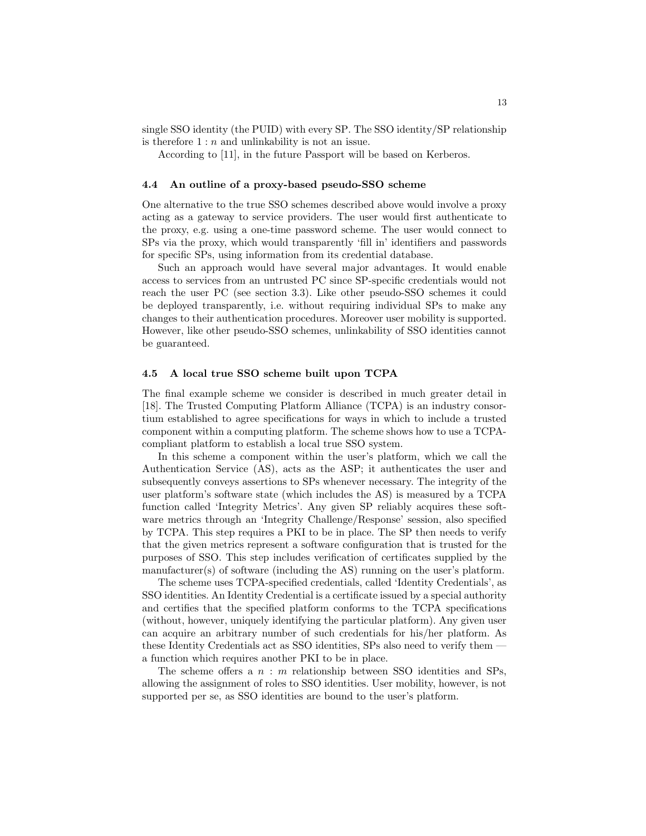single SSO identity (the PUID) with every SP. The SSO identity/SP relationship is therefore  $1:n$  and unlinkability is not an issue.

According to [11], in the future Passport will be based on Kerberos.

#### 4.4 An outline of a proxy-based pseudo-SSO scheme

One alternative to the true SSO schemes described above would involve a proxy acting as a gateway to service providers. The user would first authenticate to the proxy, e.g. using a one-time password scheme. The user would connect to SPs via the proxy, which would transparently 'fill in' identifiers and passwords for specific SPs, using information from its credential database.

Such an approach would have several major advantages. It would enable access to services from an untrusted PC since SP-specific credentials would not reach the user PC (see section 3.3). Like other pseudo-SSO schemes it could be deployed transparently, i.e. without requiring individual SPs to make any changes to their authentication procedures. Moreover user mobility is supported. However, like other pseudo-SSO schemes, unlinkability of SSO identities cannot be guaranteed.

## 4.5 A local true SSO scheme built upon TCPA

The final example scheme we consider is described in much greater detail in [18]. The Trusted Computing Platform Alliance (TCPA) is an industry consortium established to agree specifications for ways in which to include a trusted component within a computing platform. The scheme shows how to use a TCPAcompliant platform to establish a local true SSO system.

In this scheme a component within the user's platform, which we call the Authentication Service (AS), acts as the ASP; it authenticates the user and subsequently conveys assertions to SPs whenever necessary. The integrity of the user platform's software state (which includes the AS) is measured by a TCPA function called 'Integrity Metrics'. Any given SP reliably acquires these software metrics through an 'Integrity Challenge/Response' session, also specified by TCPA. This step requires a PKI to be in place. The SP then needs to verify that the given metrics represent a software configuration that is trusted for the purposes of SSO. This step includes verification of certificates supplied by the manufacturer(s) of software (including the AS) running on the user's platform.

The scheme uses TCPA-specified credentials, called 'Identity Credentials', as SSO identities. An Identity Credential is a certificate issued by a special authority and certifies that the specified platform conforms to the TCPA specifications (without, however, uniquely identifying the particular platform). Any given user can acquire an arbitrary number of such credentials for his/her platform. As these Identity Credentials act as SSO identities, SPs also need to verify them a function which requires another PKI to be in place.

The scheme offers a  $n : m$  relationship between SSO identities and SPs, allowing the assignment of roles to SSO identities. User mobility, however, is not supported per se, as SSO identities are bound to the user's platform.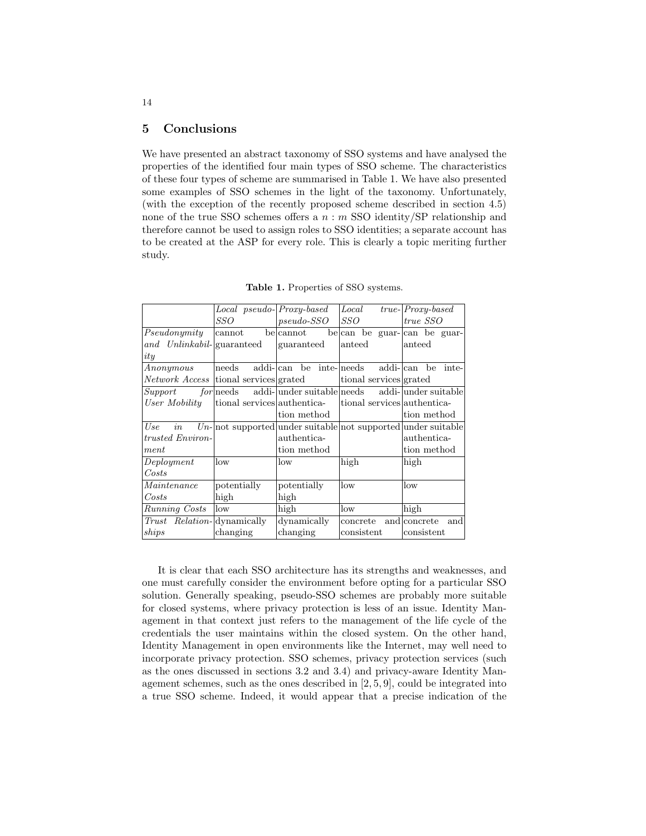# 5 Conclusions

We have presented an abstract taxonomy of SSO systems and have analysed the properties of the identified four main types of SSO scheme. The characteristics of these four types of scheme are summarised in Table 1. We have also presented some examples of SSO schemes in the light of the taxonomy. Unfortunately, (with the exception of the recently proposed scheme described in section 4.5) none of the true SSO schemes offers a  $n : m$  SSO identity/SP relationship and therefore cannot be used to assign roles to SSO identities; a separate account has to be created at the ASP for every role. This is clearly a topic meriting further study.

|                                              | Local pseudo-Proxy-based                                         |                            | Local                       | $true$ - $Proxy$ -based |
|----------------------------------------------|------------------------------------------------------------------|----------------------------|-----------------------------|-------------------------|
|                                              | SSO                                                              | $pseudo-SSO$               | SSO                         | true SSO                |
| Pseudonymity                                 | cannot                                                           | be cannot                  | be can be guar-can be guar- |                         |
| and Unlinkabil-guaranteed                    |                                                                  | guaranteed                 | anteed                      | anteed                  |
| ity                                          |                                                                  |                            |                             |                         |
| Anonymous                                    | needs                                                            | addi-can be inte-needs     |                             | addi-can be inte-       |
| <i>Network Access</i> tional services grated |                                                                  |                            | tional services grated      |                         |
| Support                                      | for needs                                                        | addi- under suitable needs |                             | addi-lunder suitable    |
| User Mobility                                | tional services authentica-                                      |                            | tional services authentica- |                         |
|                                              |                                                                  | tion method                |                             | tion method             |
| in<br>Use                                    | $Un$ - not supported under suitable not supported under suitable |                            |                             |                         |
| trusted Environ-                             |                                                                  | authentica-                |                             | authentica-             |
| ment                                         |                                                                  | tion method                |                             | tion method             |
| Deployment                                   | low                                                              | low                        | high                        | high                    |
| Costs                                        |                                                                  |                            |                             |                         |
| Maintenance                                  | potentially                                                      | potentially                | low                         | low                     |
| Costs                                        | high                                                             | high                       |                             |                         |
| Running Costs                                | low                                                              | high                       | low                         | high                    |
| <i>Trust Relation</i> -dynamically           |                                                                  | dynamically                | concrete                    | and concrete<br>and     |
| ships                                        | changing                                                         | changing                   | consistent                  | consistent              |

Table 1. Properties of SSO systems.

It is clear that each SSO architecture has its strengths and weaknesses, and one must carefully consider the environment before opting for a particular SSO solution. Generally speaking, pseudo-SSO schemes are probably more suitable for closed systems, where privacy protection is less of an issue. Identity Management in that context just refers to the management of the life cycle of the credentials the user maintains within the closed system. On the other hand, Identity Management in open environments like the Internet, may well need to incorporate privacy protection. SSO schemes, privacy protection services (such as the ones discussed in sections 3.2 and 3.4) and privacy-aware Identity Management schemes, such as the ones described in [2, 5, 9], could be integrated into a true SSO scheme. Indeed, it would appear that a precise indication of the

14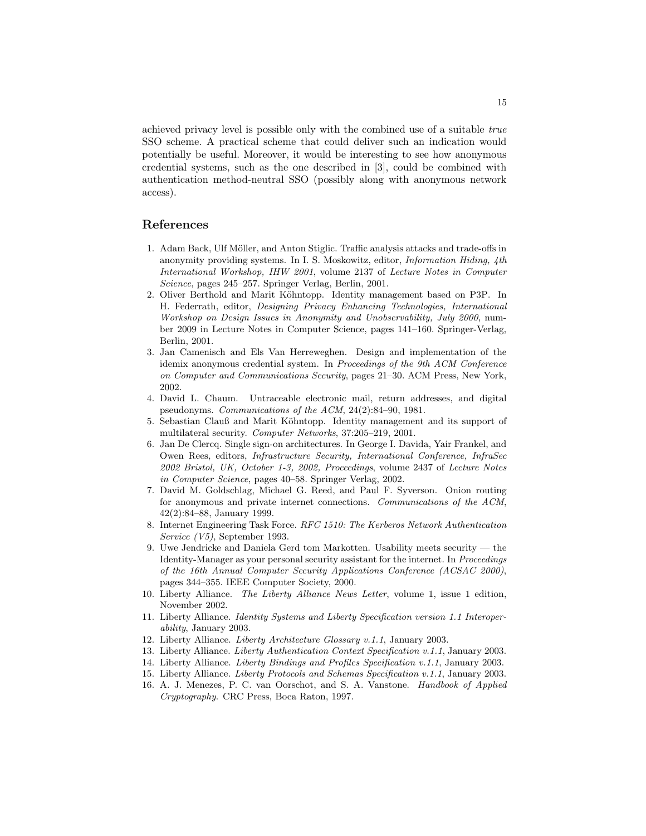achieved privacy level is possible only with the combined use of a suitable true SSO scheme. A practical scheme that could deliver such an indication would potentially be useful. Moreover, it would be interesting to see how anonymous credential systems, such as the one described in [3], could be combined with authentication method-neutral SSO (possibly along with anonymous network access).

# References

- 1. Adam Back, Ulf Möller, and Anton Stiglic. Traffic analysis attacks and trade-offs in anonymity providing systems. In I. S. Moskowitz, editor, Information Hiding, 4th International Workshop, IHW 2001, volume 2137 of Lecture Notes in Computer Science, pages 245–257. Springer Verlag, Berlin, 2001.
- 2. Oliver Berthold and Marit Köhntopp. Identity management based on P3P. In H. Federrath, editor, Designing Privacy Enhancing Technologies, International Workshop on Design Issues in Anonymity and Unobservability, July 2000, number 2009 in Lecture Notes in Computer Science, pages 141–160. Springer-Verlag, Berlin, 2001.
- 3. Jan Camenisch and Els Van Herreweghen. Design and implementation of the idemix anonymous credential system. In Proceedings of the 9th ACM Conference on Computer and Communications Security, pages 21–30. ACM Press, New York, 2002.
- 4. David L. Chaum. Untraceable electronic mail, return addresses, and digital pseudonyms. Communications of the ACM, 24(2):84–90, 1981.
- 5. Sebastian Clauß and Marit Köhntopp. Identity management and its support of multilateral security. Computer Networks, 37:205–219, 2001.
- 6. Jan De Clercq. Single sign-on architectures. In George I. Davida, Yair Frankel, and Owen Rees, editors, Infrastructure Security, International Conference, InfraSec 2002 Bristol, UK, October 1-3, 2002, Proceedings, volume 2437 of Lecture Notes in Computer Science, pages 40–58. Springer Verlag, 2002.
- 7. David M. Goldschlag, Michael G. Reed, and Paul F. Syverson. Onion routing for anonymous and private internet connections. Communications of the ACM, 42(2):84–88, January 1999.
- 8. Internet Engineering Task Force. RFC 1510: The Kerberos Network Authentication Service (V5), September 1993.
- 9. Uwe Jendricke and Daniela Gerd tom Markotten. Usability meets security the Identity-Manager as your personal security assistant for the internet. In Proceedings of the 16th Annual Computer Security Applications Conference (ACSAC 2000), pages 344–355. IEEE Computer Society, 2000.
- 10. Liberty Alliance. The Liberty Alliance News Letter, volume 1, issue 1 edition, November 2002.
- 11. Liberty Alliance. Identity Systems and Liberty Specification version 1.1 Interoperability, January 2003.
- 12. Liberty Alliance. Liberty Architecture Glossary v.1.1, January 2003.
- 13. Liberty Alliance. Liberty Authentication Context Specification v.1.1, January 2003.
- 14. Liberty Alliance. Liberty Bindings and Profiles Specification v.1.1, January 2003.
- 15. Liberty Alliance. Liberty Protocols and Schemas Specification v.1.1, January 2003.
- 16. A. J. Menezes, P. C. van Oorschot, and S. A. Vanstone. Handbook of Applied Cryptography. CRC Press, Boca Raton, 1997.